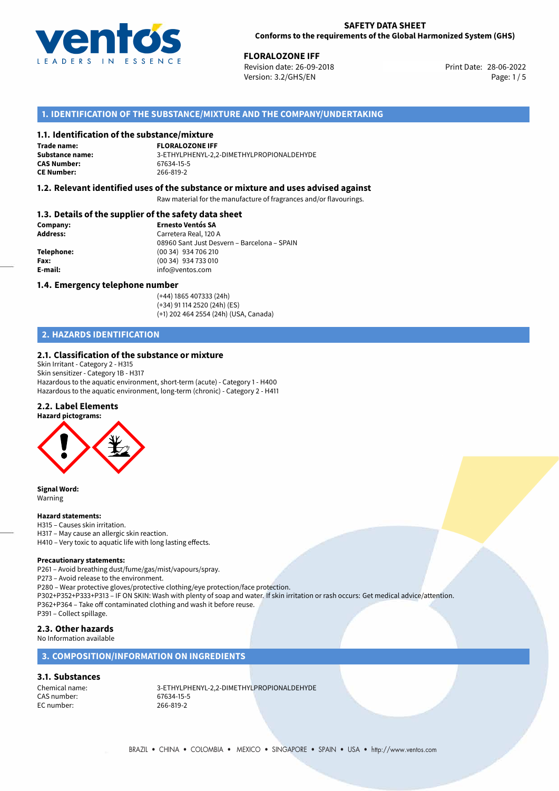

## **SAFETY DATA SHEET Conforms to the requirements of the Global Harmonized System (GHS)**

**FLORALOZONE IFF**<br>Revision date: 26-09-2018 **Revision date: 28-06-2022** Version: 3.2/GHS/EN Page: 1/5

# **1. IDENTIFICATION OF THE SUBSTANCE/MIXTURE AND THE COMPANY/UNDERTAKING**

## **1.1. Identification of the substance/mixture**

**Trade name: CAS Number: CE Number:** 266-819-2

**FLORALOZONE IFF Substance name:** 3-ETHYLPHENYL-2,2-DIMETHYLPROPIONALDEHYDE

## **1.2. Relevant identified uses of the substance or mixture and uses advised against**

Raw material for the manufacture of fragrances and/or flavourings.

# **1.3. Details of the supplier of the safety data sheet**

| Company:        | <b>Ernesto Ventós SA</b>                    |
|-----------------|---------------------------------------------|
| <b>Address:</b> | Carretera Real, 120 A                       |
|                 | 08960 Sant Just Desvern - Barcelona - SPAIN |
| Telephone:      | (00 34) 934 706 210                         |
| Fax:            | (00 34) 934 733 010                         |
| E-mail:         | info@ventos.com                             |
|                 |                                             |

## **1.4. Emergency telephone number**

(+44) 1865 407333 (24h) (+34) 91 114 2520 (24h) (ES) (+1) 202 464 2554 (24h) (USA, Canada)

# **2. HAZARDS IDENTIFICATION**

## **2.1. Classification of the substance or mixture**

Skin Irritant - Category 2 - H315 Skin sensitizer - Category 1B - H317 Hazardous to the aquatic environment, short-term (acute) - Category 1 - H400 Hazardous to the aquatic environment, long-term (chronic) - Category 2 - H411

## **2.2. Label Elements**



**Signal Word:** Warning

#### **Hazard statements:**

H315 – Causes skin irritation. H317 – May cause an allergic skin reaction. H410 – Very toxic to aquatic life with long lasting effects.

#### **Precautionary statements:**

P261 – Avoid breathing dust/fume/gas/mist/vapours/spray.

P273 – Avoid release to the environment.

P280 – Wear protective gloves/protective clothing/eye protection/face protection. P302+P352+P333+P313 – IF ON SKIN: Wash with plenty of soap and water. If skin irritation or rash occurs: Get medical advice/attention. P362+P364 – Take off contaminated clothing and wash it before reuse. P391 – Collect spillage.

# **2.3. Other hazards**

## No Information available

## **3. COMPOSITION/INFORMATION ON INGREDIENTS**

## **3.1. Substances**

CAS number: 67634-15-5 EC number: 266-819-2

Chemical name: 3-ETHYLPHENYL-2,2-DIMETHYLPROPIONALDEHYDE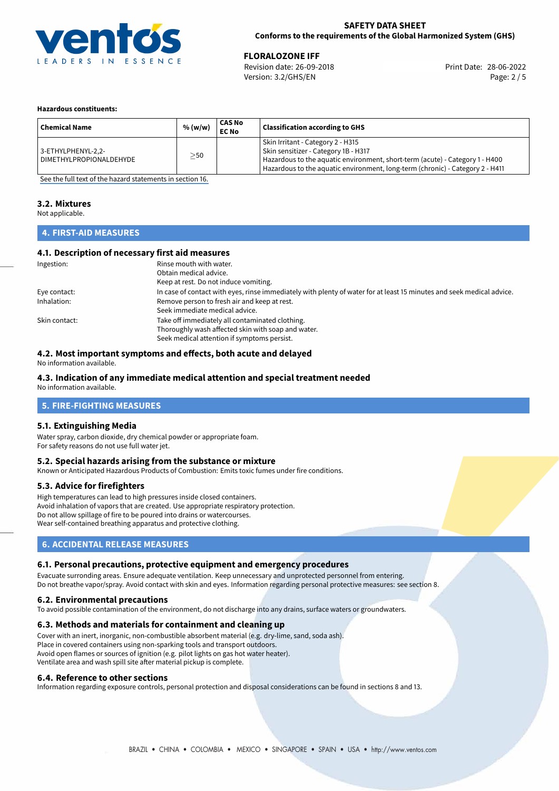

## **SAFETY DATA SHEET Conforms to the requirements of the Global Harmonized System (GHS)**

28-06-2022 **FLORALOZONE IFF** Revision date: 26-09-2018 Print Date: Version: 3.2/GHS/EN Page: 2 / 5

## **Hazardous constituents:**

| <b>Chemical Name</b>                            | % (w/w) | <b>CAS No</b><br><b>EC No</b> | <b>Classification according to GHS</b>                                                                                                                                                                                                     |
|-------------------------------------------------|---------|-------------------------------|--------------------------------------------------------------------------------------------------------------------------------------------------------------------------------------------------------------------------------------------|
| 3-ETHYLPHENYL-2,2-<br>  DIMETHYLPROPIONALDEHYDE | >50     |                               | Skin Irritant - Category 2 - H315<br>Skin sensitizer - Category 1B - H317<br>Hazardous to the aquatic environment, short-term (acute) - Category 1 - H400<br>Hazardous to the aquatic environment, long-term (chronic) - Category 2 - H411 |

[See the full text of the hazard statements in section 16.](#page-4-0)

# **3.2. Mixtures**

Not applicable.

# **4. FIRST-AID MEASURES**

## **4.1. Description of necessary first aid measures**

| Ingestion:    | Rinse mouth with water.<br>Obtain medical advice.<br>Keep at rest. Do not induce vomiting.                                                           |
|---------------|------------------------------------------------------------------------------------------------------------------------------------------------------|
| Eye contact:  | In case of contact with eyes, rinse immediately with plenty of water for at least 15 minutes and seek medical advice.                                |
| Inhalation:   | Remove person to fresh air and keep at rest.<br>Seek immediate medical advice.                                                                       |
| Skin contact: | Take off immediately all contaminated clothing.<br>Thoroughly wash affected skin with soap and water.<br>Seek medical attention if symptoms persist. |

# **4.2. Most important symptoms and effects, both acute and delayed**

No information available.

# **4.3. Indication of any immediate medical attention and special treatment needed**

No information available.

# **5. FIRE-FIGHTING MEASURES**

## **5.1. Extinguishing Media**

Water spray, carbon dioxide, dry chemical powder or appropriate foam. For safety reasons do not use full water jet.

## **5.2. Special hazards arising from the substance or mixture**

Known or Anticipated Hazardous Products of Combustion: Emits toxic fumes under fire conditions.

## **5.3. Advice for firefighters**

High temperatures can lead to high pressures inside closed containers. Avoid inhalation of vapors that are created. Use appropriate respiratory protection. Do not allow spillage of fire to be poured into drains or watercourses. Wear self-contained breathing apparatus and protective clothing.

# **6. ACCIDENTAL RELEASE MEASURES**

## **6.1. Personal precautions, protective equipment and emergency procedures**

Evacuate surronding areas. Ensure adequate ventilation. Keep unnecessary and unprotected personnel from entering. Do not breathe vapor/spray. Avoid contact with skin and eyes. Information regarding personal protective measures: see section 8.

## **6.2. Environmental precautions**

To avoid possible contamination of the environment, do not discharge into any drains, surface waters or groundwaters.

## **6.3. Methods and materials for containment and cleaning up**

Cover with an inert, inorganic, non-combustible absorbent material (e.g. dry-lime, sand, soda ash). Place in covered containers using non-sparking tools and transport outdoors. Avoid open flames or sources of ignition (e.g. pilot lights on gas hot water heater). Ventilate area and wash spill site after material pickup is complete.

## **6.4. Reference to other sections**

Information regarding exposure controls, personal protection and disposal considerations can be found in sections 8 and 13.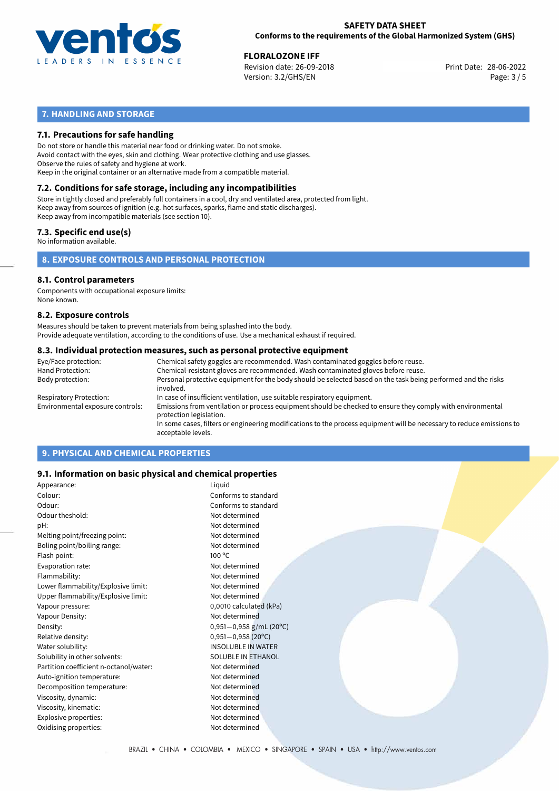

## **SAFETY DATA SHEET Conforms to the requirements of the Global Harmonized System (GHS)**

28-06-2022 **FLORALOZONE IFF** Revision date: 26-09-2018 Print Date: Version: 3.2/GHS/EN Page: 3 / 5

# **7. HANDLING AND STORAGE**

## **7.1. Precautions for safe handling**

Do not store or handle this material near food or drinking water. Do not smoke. Avoid contact with the eyes, skin and clothing. Wear protective clothing and use glasses. Observe the rules of safety and hygiene at work. Keep in the original container or an alternative made from a compatible material.

# **7.2. Conditions for safe storage, including any incompatibilities**

Store in tightly closed and preferably full containers in a cool, dry and ventilated area, protected from light. Keep away from sources of ignition (e.g. hot surfaces, sparks, flame and static discharges). Keep away from incompatible materials (see section 10).

## **7.3. Specific end use(s)**

No information available.

## **8. EXPOSURE CONTROLS AND PERSONAL PROTECTION**

# **8.1. Control parameters**

Components with occupational exposure limits: None known.

## **8.2. Exposure controls**

Measures should be taken to prevent materials from being splashed into the body. Provide adequate ventilation, according to the conditions of use. Use a mechanical exhaust if required.

## **8.3. Individual protection measures, such as personal protective equipment**

| Eye/Face protection:             | Chemical safety goggles are recommended. Wash contaminated goggles before reuse.                                                            |
|----------------------------------|---------------------------------------------------------------------------------------------------------------------------------------------|
| Hand Protection:                 | Chemical-resistant gloves are recommended. Wash contaminated gloves before reuse.                                                           |
| Body protection:                 | Personal protective equipment for the body should be selected based on the task being performed and the risks<br>involved.                  |
| Respiratory Protection:          | In case of insufficient ventilation, use suitable respiratory equipment.                                                                    |
| Environmental exposure controls: | Emissions from ventilation or process equipment should be checked to ensure they comply with environmental<br>protection legislation.       |
|                                  | In some cases, filters or engineering modifications to the process equipment will be necessary to reduce emissions to<br>acceptable levels. |
|                                  |                                                                                                                                             |

# **9. PHYSICAL AND CHEMICAL PROPERTIES**

## **9.1. Information on basic physical and chemical properties**

| Appearance:                            | Liquid                    |
|----------------------------------------|---------------------------|
| Colour:                                | Conforms to standard      |
| Odour:                                 | Conforms to standard      |
| Odour theshold:                        | Not determined            |
| pH:                                    | Not determined            |
| Melting point/freezing point:          | Not determined            |
| Boling point/boiling range:            | Not determined            |
| Flash point:                           | 100 °C                    |
| Evaporation rate:                      | Not determined            |
| Flammability:                          | Not determined            |
| Lower flammability/Explosive limit:    | Not determined            |
| Upper flammability/Explosive limit:    | Not determined            |
| Vapour pressure:                       | 0,0010 calculated (kPa)   |
| Vapour Density:                        | Not determined            |
| Density:                               | $0,951-0,958$ g/mL (20°C) |
| Relative density:                      | $0,951 - 0,958$ (20°C)    |
| Water solubility:                      | <b>INSOLUBLE IN WATER</b> |
| Solubility in other solvents:          | SOLUBLE IN ETHANOL        |
| Partition coefficient n-octanol/water: | Not determined            |
| Auto-ignition temperature:             | Not determined            |
| Decomposition temperature:             | Not determined            |
| Viscosity, dynamic:                    | Not determined            |
| Viscosity, kinematic:                  | Not determined            |
| Explosive properties:                  | Not determined            |
| Oxidising properties:                  | Not determined            |
|                                        |                           |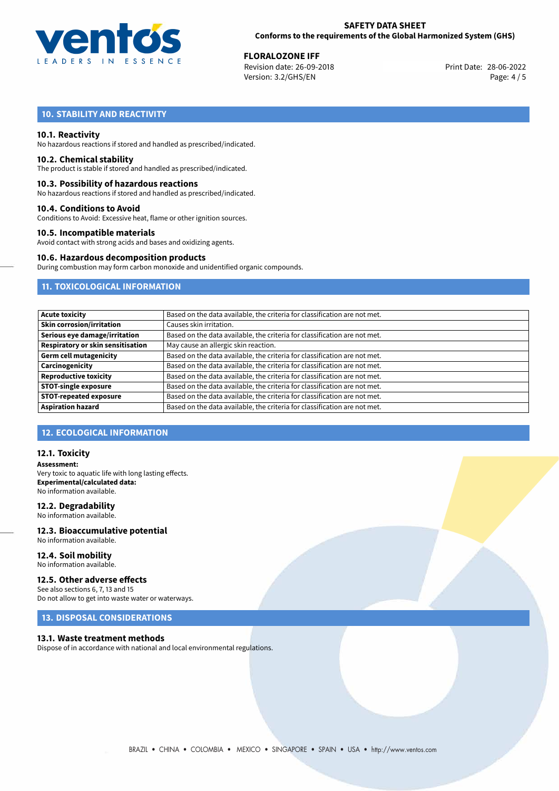

28-06-2022 **FLORALOZONE IFF** Revision date: 26-09-2018 Print Date: Version: 3.2/GHS/EN Page: 4 / 5

# **10. STABILITY AND REACTIVITY**

## **10.1. Reactivity**

No hazardous reactions if stored and handled as prescribed/indicated.

## **10.2. Chemical stability**

The product is stable if stored and handled as prescribed/indicated.

## **10.3. Possibility of hazardous reactions**

No hazardous reactions if stored and handled as prescribed/indicated.

## **10.4. Conditions to Avoid**

Conditions to Avoid: Excessive heat, flame or other ignition sources.

## **10.5. Incompatible materials**

Avoid contact with strong acids and bases and oxidizing agents.

## **10.6. Hazardous decomposition products**

During combustion may form carbon monoxide and unidentified organic compounds.

# **11. TOXICOLOGICAL INFORMATION**

| <b>Acute toxicity</b>                    | Based on the data available, the criteria for classification are not met. |
|------------------------------------------|---------------------------------------------------------------------------|
| <b>Skin corrosion/irritation</b>         | Causes skin irritation.                                                   |
| Serious eye damage/irritation            | Based on the data available, the criteria for classification are not met. |
| <b>Respiratory or skin sensitisation</b> | May cause an allergic skin reaction.                                      |
| <b>Germ cell mutagenicity</b>            | Based on the data available, the criteria for classification are not met. |
| Carcinogenicity                          | Based on the data available, the criteria for classification are not met. |
| <b>Reproductive toxicity</b>             | Based on the data available, the criteria for classification are not met. |
| <b>STOT-single exposure</b>              | Based on the data available, the criteria for classification are not met. |
| <b>STOT-repeated exposure</b>            | Based on the data available, the criteria for classification are not met. |
| <b>Aspiration hazard</b>                 | Based on the data available, the criteria for classification are not met. |

## **12. ECOLOGICAL INFORMATION**

## **12.1. Toxicity**

**Assessment:** Very toxic to aquatic life with long lasting effects. **Experimental/calculated data:** No information available.

## **12.2. Degradability**

No information available.

## **12.3. Bioaccumulative potential** No information available.

**12.4. Soil mobility** No information available.

# **12.5. Other adverse effects**

See also sections 6, 7, 13 and 15 Do not allow to get into waste water or waterways.

# **13. DISPOSAL CONSIDERATIONS**

## **13.1. Waste treatment methods**

Dispose of in accordance with national and local environmental regulations.